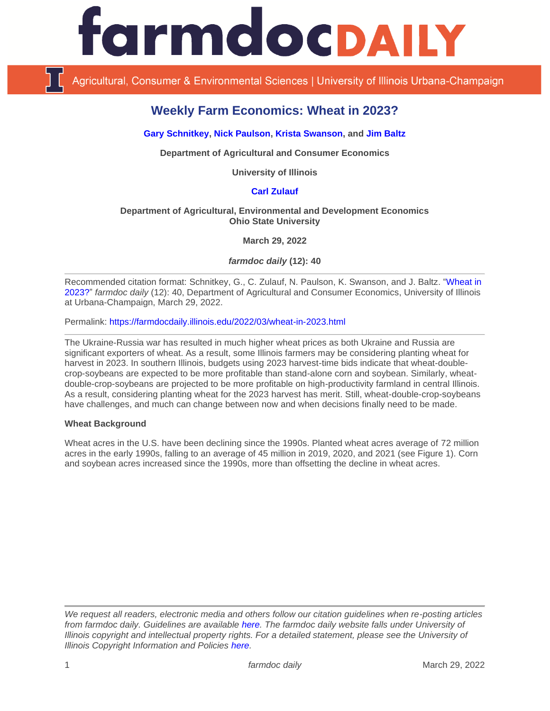# **ArmdocDAILY**

Agricultural, Consumer & Environmental Sciences | University of Illinois Urbana-Champaign

# **Weekly Farm Economics: Wheat in 2023?**

# **[Gary Schnitkey,](https://ace.illinois.edu/directory/schnitke) [Nick Paulson,](https://ace.illinois.edu/directory/npaulson) [Krista Swanson,](https://ace.illinois.edu/directory/krista) and [Jim Baltz](https://ace.illinois.edu/directory/jhbaltz)**

**Department of Agricultural and Consumer Economics**

**University of Illinois**

# **[Carl Zulauf](http://aede.osu.edu/our-people/carl-zulauf)**

#### **Department of Agricultural, Environmental and Development Economics Ohio State University**

**March 29, 2022**

*farmdoc daily* **(12): 40**

Recommended citation format: Schnitkey, G., C. Zulauf, N. Paulson, K. Swanson, and J. Baltz. "Wheat in [2023?"](https://farmdocdaily.illinois.edu/2022/03/wheat-in-2023.html) *farmdoc daily* (12): 40, Department of Agricultural and Consumer Economics, University of Illinois at Urbana-Champaign, March 29, 2022.

Permalink:<https://farmdocdaily.illinois.edu/2022/03/wheat-in-2023.html>

The Ukraine-Russia war has resulted in much higher wheat prices as both Ukraine and Russia are significant exporters of wheat. As a result, some Illinois farmers may be considering planting wheat for harvest in 2023. In southern Illinois, budgets using 2023 harvest-time bids indicate that wheat-doublecrop-soybeans are expected to be more profitable than stand-alone corn and soybean. Similarly, wheatdouble-crop-soybeans are projected to be more profitable on high-productivity farmland in central Illinois. As a result, considering planting wheat for the 2023 harvest has merit. Still, wheat-double-crop-soybeans have challenges, and much can change between now and when decisions finally need to be made.

#### **Wheat Background**

Wheat acres in the U.S. have been declining since the 1990s. Planted wheat acres average of 72 million acres in the early 1990s, falling to an average of 45 million in 2019, 2020, and 2021 (see Figure 1). Corn and soybean acres increased since the 1990s, more than offsetting the decline in wheat acres.

*We request all readers, electronic media and others follow our citation guidelines when re-posting articles from farmdoc daily. Guidelines are available [here.](http://farmdocdaily.illinois.edu/citationguide.html) The farmdoc daily website falls under University of Illinois copyright and intellectual property rights. For a detailed statement, please see the University of Illinois Copyright Information and Policies [here.](http://www.cio.illinois.edu/policies/copyright/)*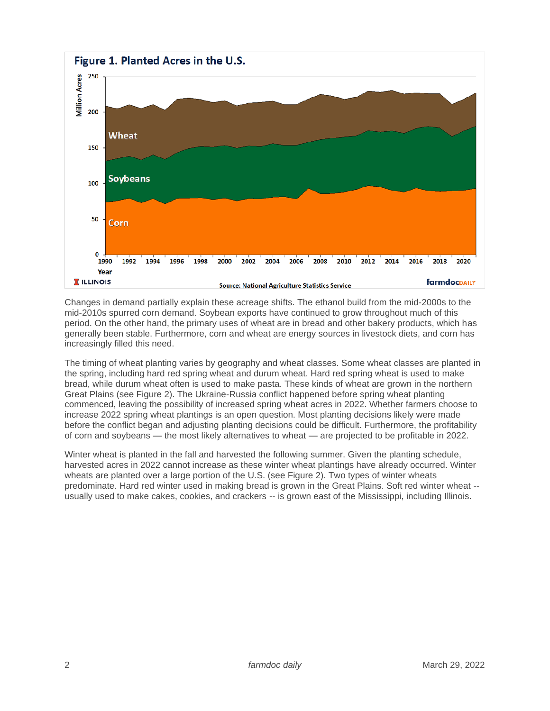

Changes in demand partially explain these acreage shifts. The ethanol build from the mid-2000s to the mid-2010s spurred corn demand. Soybean exports have continued to grow throughout much of this period. On the other hand, the primary uses of wheat are in bread and other bakery products, which has generally been stable. Furthermore, corn and wheat are energy sources in livestock diets, and corn has increasingly filled this need.

The timing of wheat planting varies by geography and wheat classes. Some wheat classes are planted in the spring, including hard red spring wheat and durum wheat. Hard red spring wheat is used to make bread, while durum wheat often is used to make pasta. These kinds of wheat are grown in the northern Great Plains (see Figure 2). The Ukraine-Russia conflict happened before spring wheat planting commenced, leaving the possibility of increased spring wheat acres in 2022. Whether farmers choose to increase 2022 spring wheat plantings is an open question. Most planting decisions likely were made before the conflict began and adjusting planting decisions could be difficult. Furthermore, the profitability of corn and soybeans — the most likely alternatives to wheat — are projected to be profitable in 2022.

Winter wheat is planted in the fall and harvested the following summer. Given the planting schedule, harvested acres in 2022 cannot increase as these winter wheat plantings have already occurred. Winter wheats are planted over a large portion of the U.S. (see Figure 2). Two types of winter wheats predominate. Hard red winter used in making bread is grown in the Great Plains. Soft red winter wheat - usually used to make cakes, cookies, and crackers -- is grown east of the Mississippi, including Illinois.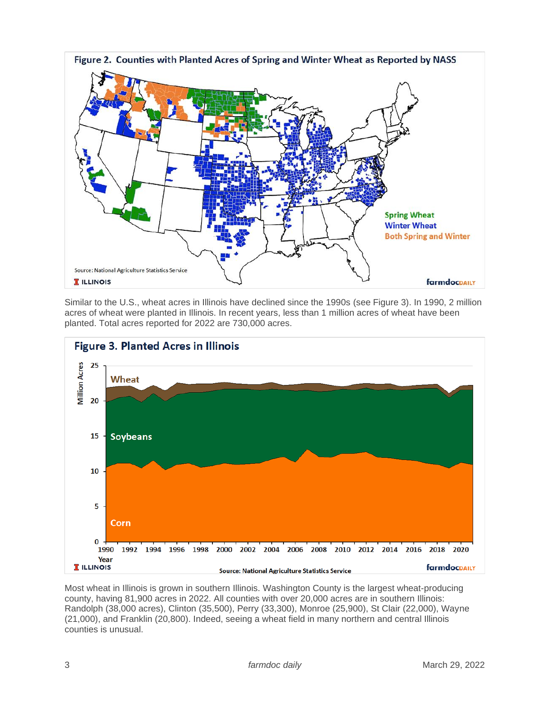

Similar to the U.S., wheat acres in Illinois have declined since the 1990s (see Figure 3). In 1990, 2 million acres of wheat were planted in Illinois. In recent years, less than 1 million acres of wheat have been planted. Total acres reported for 2022 are 730,000 acres.



Most wheat in Illinois is grown in southern Illinois. Washington County is the largest wheat-producing county, having 81,900 acres in 2022. All counties with over 20,000 acres are in southern Illinois: Randolph (38,000 acres), Clinton (35,500), Perry (33,300), Monroe (25,900), St Clair (22,000), Wayne (21,000), and Franklin (20,800). Indeed, seeing a wheat field in many northern and central Illinois counties is unusual.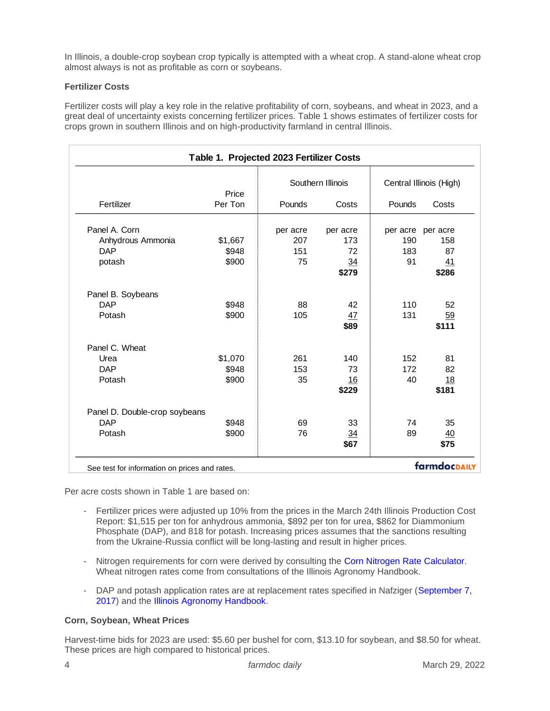In Illinois, a double-crop soybean crop typically is attempted with a wheat crop. A stand-alone wheat crop almost always is not as profitable as corn or soybeans.

# **Fertilizer Costs**

Fertilizer costs will play a key role in the relative profitability of corn, soybeans, and wheat in 2023, and a great deal of uncertainty exists concerning fertilizer prices. Table 1 shows estimates of fertilizer costs for crops grown in southern Illinois and on high-productivity farmland in central Illinois.

|                               |                  | Southern Illinois |                | Central Illinois (High) |             |
|-------------------------------|------------------|-------------------|----------------|-------------------------|-------------|
| Fertilizer                    | Price<br>Per Ton | Pounds            | Costs          | Pounds                  | Costs       |
| Panel A. Corn                 |                  | per acre          | per acre       | per acre                | per acre    |
| Anhydrous Ammonia             | \$1,667          | 207               | 173            | 190                     | 158         |
| <b>DAP</b>                    | \$948            | 151               | 72             | 183                     | 87          |
| potash                        | \$900            | 75                | 34<br>\$279    | 91                      | 41<br>\$286 |
| Panel B. Soybeans             |                  |                   |                |                         |             |
| <b>DAP</b>                    | \$948            | 88                | 42             | 110                     | 52          |
| Potash                        | \$900            | 105               | 47             | 131                     | 59          |
|                               |                  |                   | \$89           |                         | \$111       |
| Panel C. Wheat                |                  |                   |                |                         |             |
| Urea                          | \$1,070          | 261               | 140            | 152                     | 81          |
| <b>DAP</b>                    | \$948            | 153               | 73             | 172                     | 82          |
| Potash                        | \$900            | 35                | 16             | 40                      | 18          |
|                               |                  |                   | \$229          |                         | \$181       |
| Panel D. Double-crop soybeans |                  |                   |                |                         |             |
| <b>DAP</b>                    | \$948            | 69                | 33             | 74                      | 35          |
| Potash                        | \$900            | 76                | $\frac{34}{5}$ | 89                      | 40          |
|                               |                  |                   | \$67           |                         | \$75        |

Per acre costs shown in Table 1 are based on:

- Fertilizer prices were adjusted up 10% from the prices in the March 24th Illinois Production Cost Report: \$1,515 per ton for anhydrous ammonia, \$892 per ton for urea, \$862 for Diammonium Phosphate (DAP), and 818 for potash. Increasing prices assumes that the sanctions resulting from the Ukraine-Russia conflict will be long-lasting and result in higher prices.
- Nitrogen requirements for corn were derived by consulting the [Corn Nitrogen Rate Calculator.](http://cnrc.agron.iastate.edu/) Wheat nitrogen rates come from consultations of the Illinois Agronomy Handbook.
- DAP and potash application rates are at replacement rates specified in Nafziger (September 7, [2017\)](https://farmdoc.illinois.edu/field-crop-production/uncategorized/new-grain-phosphorus-and-potassium-numbers.html) and the [Illinois Agronomy Handbook.](http://extension.cropsciences.illinois.edu/handbook/)

# **Corn, Soybean, Wheat Prices**

Harvest-time bids for 2023 are used: \$5.60 per bushel for corn, \$13.10 for soybean, and \$8.50 for wheat. These prices are high compared to historical prices.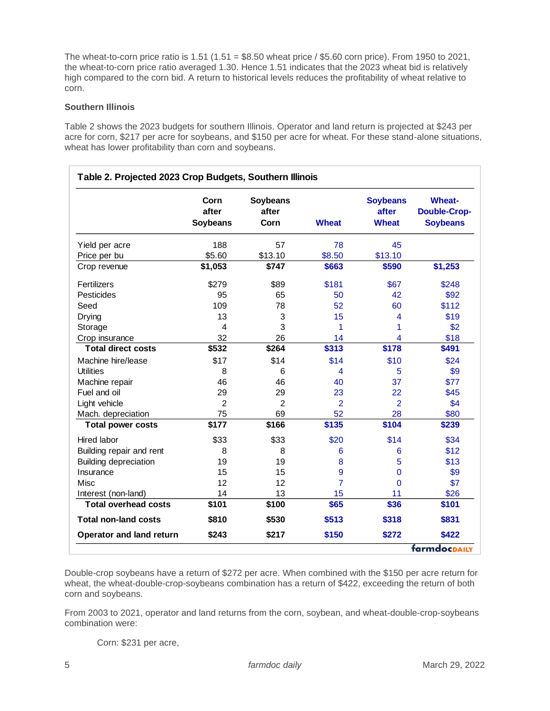The wheat-to-corn price ratio is  $1.51$  ( $1.51 = $8.50$  wheat price /  $$5.60$  corn price). From 1950 to 2021, the wheat-to-corn price ratio averaged 1.30. Hence 1.51 indicates that the 2023 wheat bid is relatively high compared to the corn bid. A return to historical levels reduces the profitability of wheat relative to corn.

#### **Southern Illinois**

Table 2 shows the 2023 budgets for southern Illinois. Operator and land return is projected at \$243 per acre for corn, \$217 per acre for soybeans, and \$150 per acre for wheat. For these stand-alone situations, wheat has lower profitability than corn and soybeans.

|                              | Corn<br>after<br><b>Soybeans</b> | <b>Soybeans</b><br>after<br>Corn | <b>Wheat</b>   | <b>Soybeans</b><br>after<br><b>Wheat</b> | <b>Wheat-</b><br><b>Double-Crop-</b><br><b>Soybeans</b> |
|------------------------------|----------------------------------|----------------------------------|----------------|------------------------------------------|---------------------------------------------------------|
| Yield per acre               | 188                              | 57                               | 78             | 45                                       |                                                         |
| Price per bu                 | \$5.60                           | \$13.10                          | \$8.50         | \$13.10                                  |                                                         |
| Crop revenue                 | \$1,053                          | \$747                            | \$663          | \$590                                    | \$1,253                                                 |
| Fertilizers                  | \$279                            | \$89                             | \$181          | \$67                                     | \$248                                                   |
| Pesticides                   | 95                               | 65                               | 50             | 42                                       | \$92                                                    |
| Seed                         | 109                              | 78                               | 52             | 60                                       | \$112                                                   |
| Drying                       | 13                               | 3                                | 15             | 4                                        | \$19                                                    |
| Storage                      | 4                                | 3                                | 1              | 1                                        | \$2                                                     |
| Crop insurance               | 32                               | 26                               | 14             | 4                                        | \$18                                                    |
| <b>Total direct costs</b>    | \$532                            | \$264                            | \$313          | \$178                                    | \$491                                                   |
| Machine hire/lease           | \$17                             | \$14                             | \$14           | \$10                                     | \$24                                                    |
| <b>Utilities</b>             | 8                                | 6                                | 4              | 5                                        | \$9                                                     |
| Machine repair               | 46                               | 46                               | 40             | 37                                       | \$77                                                    |
| Fuel and oil                 | 29                               | 29                               | 23             | 22                                       | \$45                                                    |
| Light vehicle                | $\overline{2}$                   | $\overline{2}$                   | $\overline{2}$ | 2                                        | \$4                                                     |
| Mach. depreciation           | 75                               | 69                               | 52             | 28                                       | \$80                                                    |
| <b>Total power costs</b>     | \$177                            | \$166                            | \$135          | \$104                                    | \$239                                                   |
| Hired labor                  | \$33                             | \$33                             | \$20           | \$14                                     | \$34                                                    |
| Building repair and rent     | 8                                | 8                                | 6              | 6                                        | \$12                                                    |
| <b>Building depreciation</b> | 19                               | 19                               | 8              | 5                                        | \$13                                                    |
| Insurance                    | 15                               | 15                               | 9              | $\mathbf 0$                              | \$9                                                     |
| Misc                         | 12                               | 12                               | $\overline{7}$ | 0                                        | \$7                                                     |
| Interest (non-land)          | 14                               | 13                               | 15             | 11                                       | \$26                                                    |
| <b>Total overhead costs</b>  | \$101                            | \$100                            | \$65           | \$36                                     | \$101                                                   |
| <b>Total non-land costs</b>  | \$810                            | \$530                            | \$513          | \$318                                    | \$831                                                   |
| Operator and land return     | \$243                            | \$217                            | \$150          | \$272                                    | \$422                                                   |
|                              |                                  |                                  |                |                                          | farmdocpally                                            |

Double-crop soybeans have a return of \$272 per acre. When combined with the \$150 per acre return for wheat, the wheat-double-crop-soybeans combination has a return of \$422, exceeding the return of both corn and soybeans.

From 2003 to 2021, operator and land returns from the corn, soybean, and wheat-double-crop-soybeans combination were:

Corn: \$231 per acre,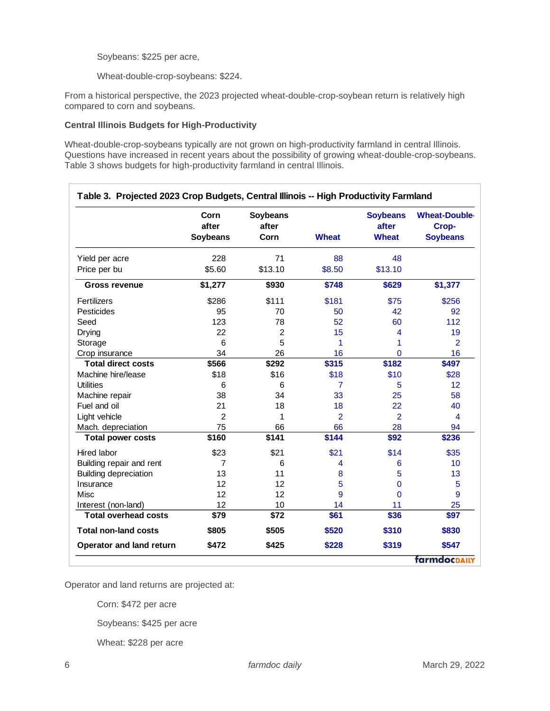Soybeans: \$225 per acre,

Wheat-double-crop-soybeans: \$224.

From a historical perspective, the 2023 projected wheat-double-crop-soybean return is relatively high compared to corn and soybeans.

#### **Central Illinois Budgets for High-Productivity**

Wheat-double-crop-soybeans typically are not grown on high-productivity farmland in central Illinois. Questions have increased in recent years about the possibility of growing wheat-double-crop-soybeans. Table 3 shows budgets for high-productivity farmland in central Illinois.

|                              | Corn<br>after<br>Soybeans | Soybeans<br>after<br>Corn | <b>Wheat</b>   | <b>Soybeans</b><br>after<br><b>Wheat</b> | <b>Wheat-Double-</b><br>Crop-<br><b>Soybeans</b> |
|------------------------------|---------------------------|---------------------------|----------------|------------------------------------------|--------------------------------------------------|
| Yield per acre               | 228                       | 71                        | 88             | 48                                       |                                                  |
| Price per bu                 | \$5.60                    | \$13.10                   | \$8.50         | \$13.10                                  |                                                  |
| <b>Gross revenue</b>         | \$1,277                   | \$930                     | \$748          | \$629                                    | \$1,377                                          |
| Fertilizers                  | \$286                     | \$111                     | \$181          | \$75                                     | \$256                                            |
| Pesticides                   | 95                        | 70                        | 50             | 42                                       | 92                                               |
| Seed                         | 123                       | 78                        | 52             | 60                                       | 112                                              |
| Drying                       | 22                        | $\overline{c}$            | 15             | 4                                        | 19                                               |
| Storage                      | 6                         | 5                         | 1              | 1                                        | 2                                                |
| Crop insurance               | 34                        | 26                        | 16             | $\Omega$                                 | 16                                               |
| <b>Total direct costs</b>    | \$566                     | \$292                     | \$315          | \$182                                    | \$497                                            |
| Machine hire/lease           | \$18                      | \$16                      | \$18           | \$10                                     | \$28                                             |
| <b>Utilities</b>             | 6                         | 6                         | $\overline{7}$ | 5                                        | 12                                               |
| Machine repair               | 38                        | 34                        | 33             | 25                                       | 58                                               |
| Fuel and oil                 | 21                        | 18                        | 18             | 22                                       | 40                                               |
| Light vehicle                | $\overline{2}$            | 1                         | $\overline{2}$ | $\overline{2}$                           | $\overline{4}$                                   |
| Mach. depreciation           | 75                        | 66                        | 66             | 28                                       | 94                                               |
| <b>Total power costs</b>     | \$160                     | \$141                     | \$144          | \$92                                     | \$236                                            |
| <b>Hired labor</b>           | \$23                      | \$21                      | \$21           | \$14                                     | \$35                                             |
| Building repair and rent     | 7                         | 6                         | 4              | 6                                        | 10                                               |
| <b>Building depreciation</b> | 13                        | 11                        | 8              | 5                                        | 13                                               |
| Insurance                    | 12                        | 12                        | 5              | 0                                        | 5                                                |
| Misc                         | 12                        | 12                        | 9              | $\Omega$                                 | 9                                                |
| Interest (non-land)          | 12                        | 10                        | 14             | 11                                       | 25                                               |
| <b>Total overhead costs</b>  | \$79                      | \$72                      | \$61           | \$36                                     | \$97                                             |
| <b>Total non-land costs</b>  | \$805                     | \$505                     | \$520          | \$310                                    | \$830                                            |
| Operator and land return     | \$472                     | \$425                     | \$228          | \$319                                    | \$547                                            |

Operator and land returns are projected at:

Corn: \$472 per acre

Soybeans: \$425 per acre

Wheat: \$228 per acre